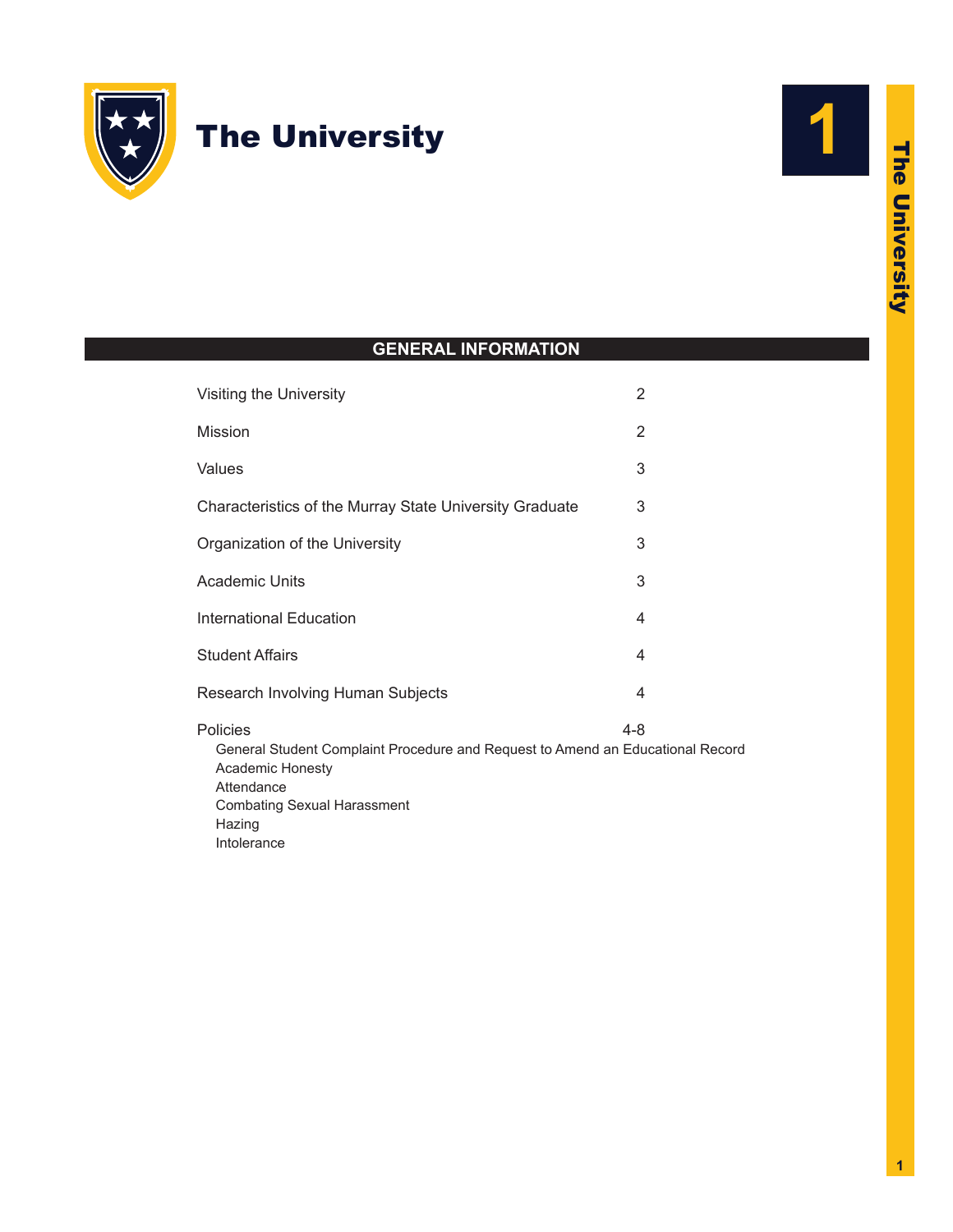

# The University



# **GENERAL INFORMATION**

| Visiting the University                                                                                                                                            | 2       |
|--------------------------------------------------------------------------------------------------------------------------------------------------------------------|---------|
| Mission                                                                                                                                                            | 2       |
| Values                                                                                                                                                             | 3       |
| Characteristics of the Murray State University Graduate                                                                                                            | 3       |
| Organization of the University                                                                                                                                     | 3       |
| <b>Academic Units</b>                                                                                                                                              | 3       |
| <b>International Education</b>                                                                                                                                     | 4       |
| <b>Student Affairs</b>                                                                                                                                             | 4       |
| Research Involving Human Subjects                                                                                                                                  | 4       |
| Policies<br>General Student Complaint Procedure and Request to Amend an Educational Record<br>Academic Honesty<br>Attendance<br><b>Combating Sexual Harassment</b> | $4 - 8$ |

Hazing

Intolerance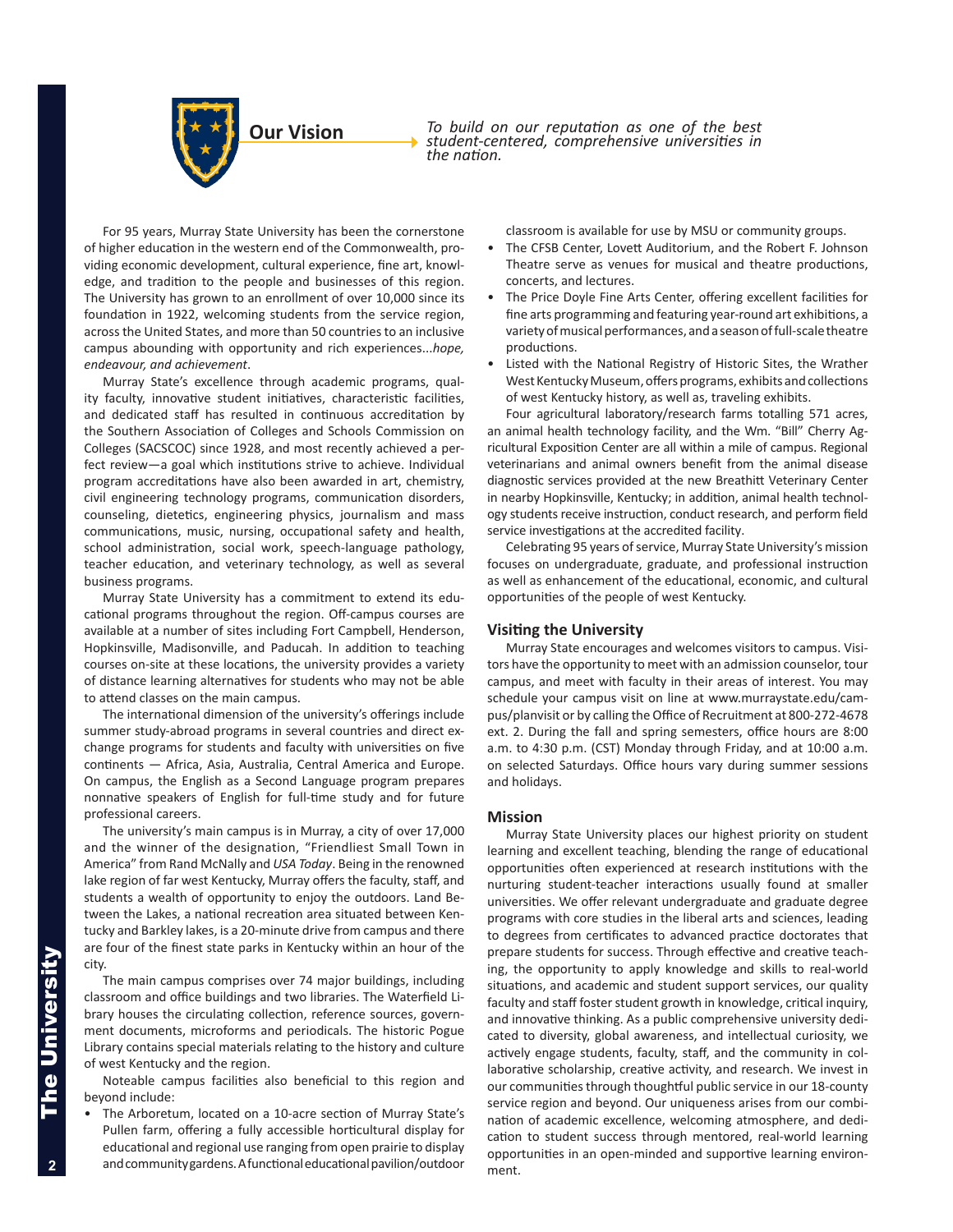

*To build on our reputation as one of the best student-centered, comprehensive universities in the nation.*

For 95 years, Murray State University has been the cornerstone of higher education in the western end of the Commonwealth, providing economic development, cultural experience, fine art, knowledge, and tradition to the people and businesses of this region. The University has grown to an enrollment of over 10,000 since its foundation in 1922, welcoming students from the service region, across the United States, and more than 50 countries to an inclusive campus abounding with opportunity and rich experiences...*hope, endeavour, and achievement*.

Murray State's excellence through academic programs, quality faculty, innovative student initiatives, characteristic facilities, and dedicated staff has resulted in continuous accreditation by the Southern Association of Colleges and Schools Commission on Colleges (SACSCOC) since 1928, and most recently achieved a perfect review—a goal which institutions strive to achieve. Individual program accreditations have also been awarded in art, chemistry, civil engineering technology programs, communication disorders, counseling, dietetics, engineering physics, journalism and mass communications, music, nursing, occupational safety and health, school administration, social work, speech-language pathology, teacher education, and veterinary technology, as well as several business programs.

Murray State University has a commitment to extend its educational programs throughout the region. Off-campus courses are available at a number of sites including Fort Campbell, Henderson, Hopkinsville, Madisonville, and Paducah. In addition to teaching courses on-site at these locations, the university provides a variety of distance learning alternatives for students who may not be able to attend classes on the main campus.

The international dimension of the university's offerings include summer study-abroad programs in several countries and direct exchange programs for students and faculty with universities on five continents — Africa, Asia, Australia, Central America and Europe. On campus, the English as a Second Language program prepares nonnative speakers of English for full-time study and for future professional careers.

The university's main campus is in Murray, a city of over 17,000 and the winner of the designation, "Friendliest Small Town in America" from Rand McNally and *USA Today*. Being in the renowned lake region of far west Kentucky, Murray offers the faculty, staff, and students a wealth of opportunity to enjoy the outdoors. Land Between the Lakes, a national recreation area situated between Kentucky and Barkley lakes, is a 20-minute drive from campus and there are four of the finest state parks in Kentucky within an hour of the city.

The main campus comprises over 74 major buildings, including classroom and office buildings and two libraries. The Waterfield Library houses the circulating collection, reference sources, government documents, microforms and periodicals. The historic Pogue Library contains special materials relating to the history and culture of west Kentucky and the region.

Noteable campus facilities also beneficial to this region and beyond include:

• The Arboretum, located on a 10-acre section of Murray State's Pullen farm, offering a fully accessible horticultural display for educational and regional use ranging from open prairie to display and community gardens. A functional educational pavilion/outdoor

classroom is available for use by MSU or community groups.

- The CFSB Center, Lovett Auditorium, and the Robert F. Johnson Theatre serve as venues for musical and theatre productions, concerts, and lectures.
- The Price Doyle Fine Arts Center, offering excellent facilities for fine arts programming and featuring year-round art exhibitions, a variety of musical performances, and a season of full-scale theatre productions.
- Listed with the National Registry of Historic Sites, the Wrather West Kentucky Museum, offers programs, exhibits and collections of west Kentucky history, as well as, traveling exhibits.

Four agricultural laboratory/research farms totalling 571 acres, an animal health technology facility, and the Wm. "Bill" Cherry Agricultural Exposition Center are all within a mile of campus. Regional veterinarians and animal owners benefit from the animal disease diagnostic services provided at the new Breathitt Veterinary Center in nearby Hopkinsville, Kentucky; in addition, animal health technology students receive instruction, conduct research, and perform field service investigations at the accredited facility.

Celebrating 95 years of service, Murray State University's mission focuses on undergraduate, graduate, and professional instruction as well as enhancement of the educational, economic, and cultural opportunities of the people of west Kentucky.

#### **Visiting the University**

Murray State encourages and welcomes visitors to campus. Visitors have the opportunity to meet with an admission counselor, tour campus, and meet with faculty in their areas of interest. You may schedule your campus visit on line at [www.murraystate.edu/cam](www.murraystate.edu/campus/planvisit )[pus/planvisit](www.murraystate.edu/campus/planvisit ) or by calling the Office of Recruitment at 800-272-4678 ext. 2. During the fall and spring semesters, office hours are 8:00 a.m. to 4:30 p.m. (CST) Monday through Friday, and at 10:00 a.m. on selected Saturdays. Office hours vary during summer sessions and holidays.

#### **Mission**

Murray State University places our highest priority on student learning and excellent teaching, blending the range of educational opportunities often experienced at research institutions with the nurturing student-teacher interactions usually found at smaller universities. We offer relevant undergraduate and graduate degree programs with core studies in the liberal arts and sciences, leading to degrees from certificates to advanced practice doctorates that prepare students for success. Through effective and creative teaching, the opportunity to apply knowledge and skills to real-world situations, and academic and student support services, our quality faculty and staff foster student growth in knowledge, critical inquiry, and innovative thinking. As a public comprehensive university dedicated to diversity, global awareness, and intellectual curiosity, we actively engage students, faculty, staff, and the community in collaborative scholarship, creative activity, and research. We invest in our communities through thoughtful public service in our 18-county service region and beyond. Our uniqueness arises from our combination of academic excellence, welcoming atmosphere, and dedication to student success through mentored, real-world learning opportunities in an open-minded and supportive learning environment.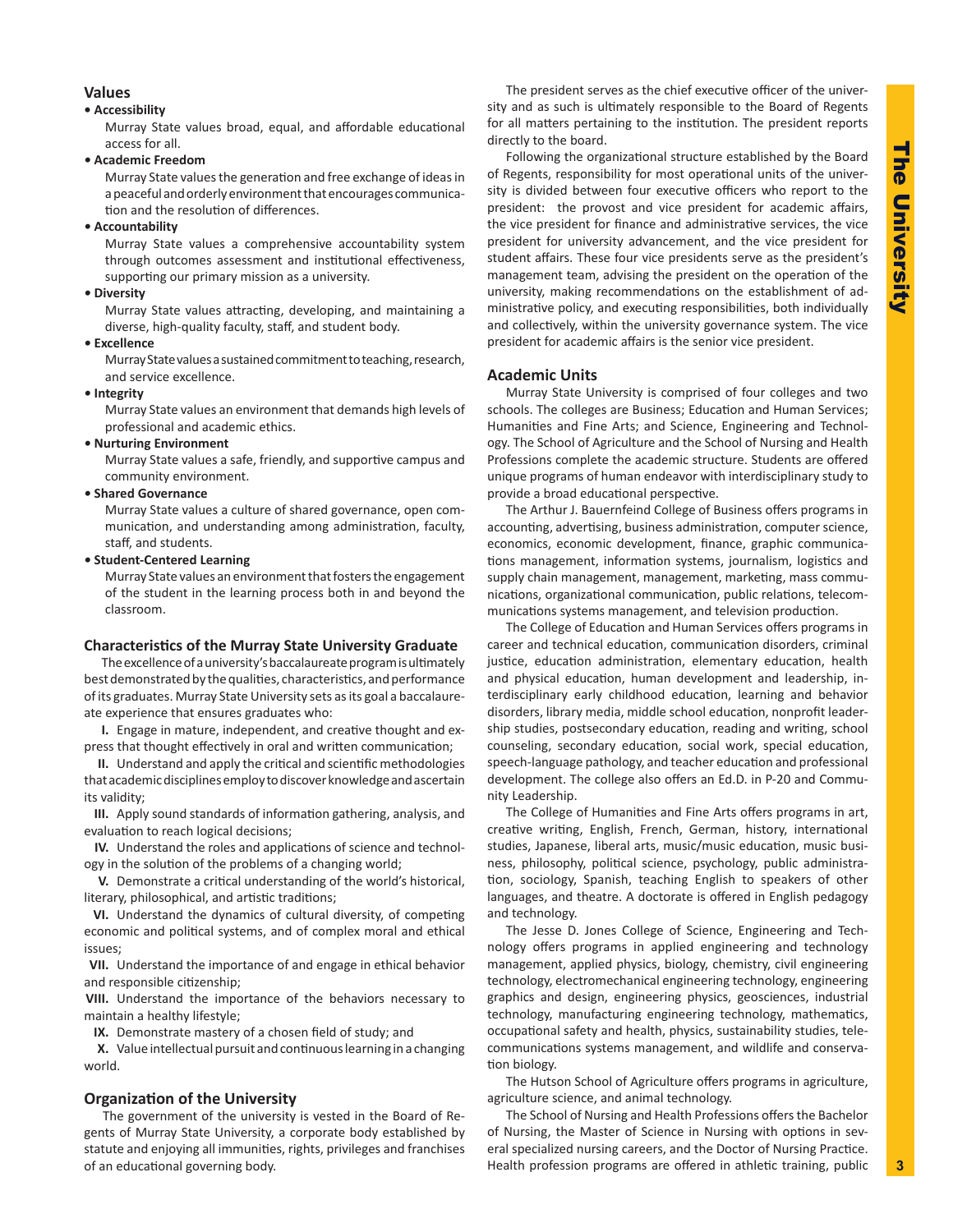# **Values**

#### **• Accessibility**

Murray State values broad, equal, and affordable educational access for all.

*•* **Academic Freedom**

Murray State values the generation and free exchange of ideas in a peaceful and orderly environment that encourages communication and the resolution of differences.

*•* **Accountability**

Murray State values a comprehensive accountability system through outcomes assessment and institutional effectiveness, supporting our primary mission as a university.

#### *•* **Diversity**

Murray State values attracting, developing, and maintaining a diverse, high-quality faculty, staff, and student body.

#### *•* **Excellence**

Murray State values a sustained commitment to teaching, research, and service excellence.

*•* **Integrity**

Murray State values an environment that demands high levels of professional and academic ethics.

#### *•* **Nurturing Environment**

Murray State values a safe, friendly, and supportive campus and community environment.

*•* **Shared Governance**

Murray State values a culture of shared governance, open communication, and understanding among administration, faculty, staff, and students.

*•* **Student-Centered Learning**

Murray State values an environment that fosters the engagement of the student in the learning process both in and beyond the classroom.

#### **Characteristics of the Murray State University Graduate**

The excellence of a university's baccalaureate program is ultimately best demonstrated by the qualities, characteristics, and performance of its graduates. Murray State University sets as its goal a baccalaureate experience that ensures graduates who:

**I.** Engage in mature, independent, and creative thought and express that thought effectively in oral and written communication;

**II.** Understand and apply the critical and scientific methodologies that academic disciplines employ to discover knowledge and ascertain its validity;

**III.** Apply sound standards of information gathering, analysis, and evaluation to reach logical decisions;

**IV.** Understand the roles and applications of science and technology in the solution of the problems of a changing world;

**V.** Demonstrate a critical understanding of the world's historical, literary, philosophical, and artistic traditions;

**VI.** Understand the dynamics of cultural diversity, of competing economic and political systems, and of complex moral and ethical issues;

**VII.** Understand the importance of and engage in ethical behavior and responsible citizenship;

**VIII.** Understand the importance of the behaviors necessary to maintain a healthy lifestyle;

**IX.** Demonstrate mastery of a chosen field of study; and

**X.** Value intellectual pursuit and continuous learning in a changing world.

# **Organization of the University**

The government of the university is vested in the Board of Regents of Murray State University, a corporate body established by statute and enjoying all immunities, rights, privileges and franchises of an educational governing body.

The president serves as the chief executive officer of the university and as such is ultimately responsible to the Board of Regents for all matters pertaining to the institution. The president reports directly to the board.

Following the organizational structure established by the Board of Regents, responsibility for most operational units of the university is divided between four executive officers who report to the president: the provost and vice president for academic affairs, the vice president for finance and administrative services, the vice president for university advancement, and the vice president for student affairs. These four vice presidents serve as the president's management team, advising the president on the operation of the university, making recommendations on the establishment of administrative policy, and executing responsibilities, both individually and collectively, within the university governance system. The vice president for academic affairs is the senior vice president.

# **Academic Units**

Murray State University is comprised of four colleges and two schools. The colleges are Business; Education and Human Services; Humanities and Fine Arts; and Science, Engineering and Technology. The School of Agriculture and the School of Nursing and Health Professions complete the academic structure. Students are offered unique programs of human endeavor with interdisciplinary study to provide a broad educational perspective.

The Arthur J. Bauernfeind College of Business offers programs in accounting, advertising, business administration, computer science, economics, economic development, finance, graphic communications management, information systems, journalism, logistics and supply chain management, management, marketing, mass communications, organizational communication, public relations, telecommunications systems management, and television production.

The College of Education and Human Services offers programs in career and technical education, communication disorders, criminal justice, education administration, elementary education, health and physical education, human development and leadership, interdisciplinary early childhood education, learning and behavior disorders, library media, middle school education, nonprofit leadership studies, postsecondary education, reading and writing, school counseling, secondary education, social work, special education, speech-language pathology, and teacher education and professional development. The college also offers an Ed.D. in P-20 and Community Leadership.

The College of Humanities and Fine Arts offers programs in art, creative writing, English, French, German, history, international studies, Japanese, liberal arts, music/music education, music business, philosophy, political science, psychology, public administration, sociology, Spanish, teaching English to speakers of other languages, and theatre. A doctorate is offered in English pedagogy and technology.

The Jesse D. Jones College of Science, Engineering and Technology offers programs in applied engineering and technology management, applied physics, biology, chemistry, civil engineering technology, electromechanical engineering technology, engineering graphics and design, engineering physics, geosciences, industrial technology, manufacturing engineering technology, mathematics, occupational safety and health, physics, sustainability studies, telecommunications systems management, and wildlife and conservation biology.

The Hutson School of Agriculture offers programs in agriculture, agriculture science, and animal technology.

The School of Nursing and Health Professions offers the Bachelor of Nursing, the Master of Science in Nursing with options in several specialized nursing careers, and the Doctor of Nursing Practice. Health profession programs are offered in athletic training, public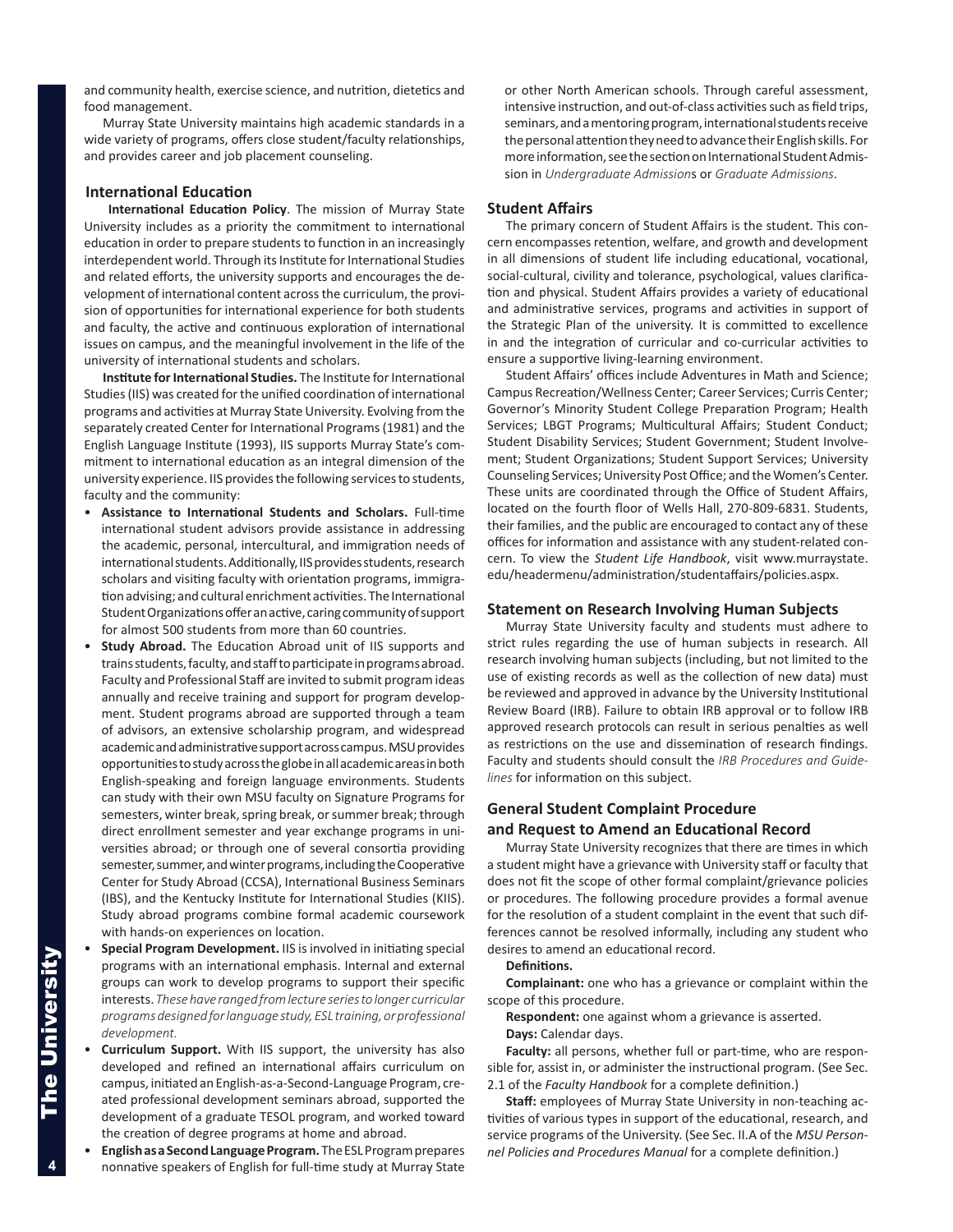and community health, exercise science, and nutrition, dietetics and food management.

Murray State University maintains high academic standards in a wide variety of programs, offers close student/faculty relationships, and provides career and job placement counseling.

# **International Education**

**International Education Policy**. The mission of Murray State University includes as a priority the commitment to international education in order to prepare students to function in an increasingly interdependent world. Through its Institute for International Studies and related efforts, the university supports and encourages the development of international content across the curriculum, the provision of opportunities for international experience for both students and faculty, the active and continuous exploration of international issues on campus, and the meaningful involvement in the life of the university of international students and scholars.

**Institute for International Studies.** The Institute for International Studies (IIS) was created for the unified coordination of international programs and activities at Murray State University. Evolving from the separately created Center for International Programs (1981) and the English Language Institute (1993), IIS supports Murray State's commitment to international education as an integral dimension of the university experience. IIS provides the following services to students, faculty and the community:

- **Assistance to International Students and Scholars.** Full-time international student advisors provide assistance in addressing the academic, personal, intercultural, and immigration needs of international students. Additionally, IIS provides students, research scholars and visiting faculty with orientation programs, immigration advising; and cultural enrichment activities. The International Student Organizations offer an active, caring community of support for almost 500 students from more than 60 countries.
- **Study Abroad.** The Education Abroad unit of IIS supports and trains students, faculty, and staff to participate in programs abroad. Faculty and Professional Staff are invited to submit program ideas annually and receive training and support for program development. Student programs abroad are supported through a team of advisors, an extensive scholarship program, and widespread academic and administrative support across campus. MSU provides opportunities to study across the globe in all academic areas in both English-speaking and foreign language environments. Students can study with their own MSU faculty on Signature Programs for semesters, winter break, spring break, or summer break; through direct enrollment semester and year exchange programs in universities abroad; or through one of several consortia providing semester, summer, and winter programs, including the Cooperative Center for Study Abroad (CCSA), International Business Seminars (IBS), and the Kentucky Institute for International Studies (KIIS). Study abroad programs combine formal academic coursework with hands-on experiences on location.
- **Special Program Development.** IIS is involved in initiating special programs with an international emphasis. Internal and external groups can work to develop programs to support their specific interests. *These have ranged from lecture series to longer curricular programs designed for language study, ESL training, or professional development.*
- **Curriculum Support.** With IIS support, the university has also developed and refined an international affairs curriculum on campus, initiated an English-as-a-Second-Language Program, created professional development seminars abroad, supported the development of a graduate TESOL program, and worked toward the creation of degree programs at home and abroad.
- **English as a Second Language Program.** The ESL Program prepares nonnative speakers of English for full-time study at Murray State

or other North American schools. Through careful assessment, intensive instruction, and out-of-class activities such as field trips, seminars, and a mentoring program, international students receive the personal attention they need to advance their English skills. For more information, see the section on International Student Admission in *Undergraduate Admission*s or *Graduate Admissions*.

#### **Student Affairs**

The primary concern of Student Affairs is the student. This concern encompasses retention, welfare, and growth and development in all dimensions of student life including educational, vocational, social-cultural, civility and tolerance, psychological, values clarification and physical. Student Affairs provides a variety of educational and administrative services, programs and activities in support of the Strategic Plan of the university. It is committed to excellence in and the integration of curricular and co-curricular activities to ensure a supportive living-learning environment.

Student Affairs' offices include Adventures in Math and Science; Campus Recreation/Wellness Center; Career Services; Curris Center; Governor's Minority Student College Preparation Program; Health Services; LBGT Programs; Multicultural Affairs; Student Conduct; Student Disability Services; Student Government; Student Involvement; Student Organizations; Student Support Services; University Counseling Services; University Post Office; and the Women's Center. These units are coordinated through the Office of Student Affairs, located on the fourth floor of Wells Hall, 270-809-6831. Students, their families, and the public are encouraged to contact any of these offices for information and assistance with any student-related concern. To view the *Student Life Handbook*, visit www.murraystate. edu/headermenu/administration/studentaffairs/policies.aspx.

#### **Statement on Research Involving Human Subjects**

Murray State University faculty and students must adhere to strict rules regarding the use of human subjects in research. All research involving human subjects (including, but not limited to the use of existing records as well as the collection of new data) must be reviewed and approved in advance by the University Institutional Review Board (IRB). Failure to obtain IRB approval or to follow IRB approved research protocols can result in serious penalties as well as restrictions on the use and dissemination of research findings. Faculty and students should consult the *IRB Procedures and Guidelines* for information on this subject.

# **General Student Complaint Procedure**

### **and Request to Amend an Educational Record**

Murray State University recognizes that there are times in which a student might have a grievance with University staff or faculty that does not fit the scope of other formal complaint/grievance policies or procedures. The following procedure provides a formal avenue for the resolution of a student complaint in the event that such differences cannot be resolved informally, including any student who desires to amend an educational record.

**Definitions.** 

**Complainant:** one who has a grievance or complaint within the scope of this procedure.

**Respondent:** one against whom a grievance is asserted.

**Days:** Calendar days.

**Faculty:** all persons, whether full or part-time, who are responsible for, assist in, or administer the instructional program. (See Sec. 2.1 of the *Faculty Handbook* for a complete definition.)

**Staff:** employees of Murray State University in non-teaching activities of various types in support of the educational, research, and service programs of the University. (See Sec. II.A of the *MSU Personnel Policies and Procedures Manual* for a complete definition.)

4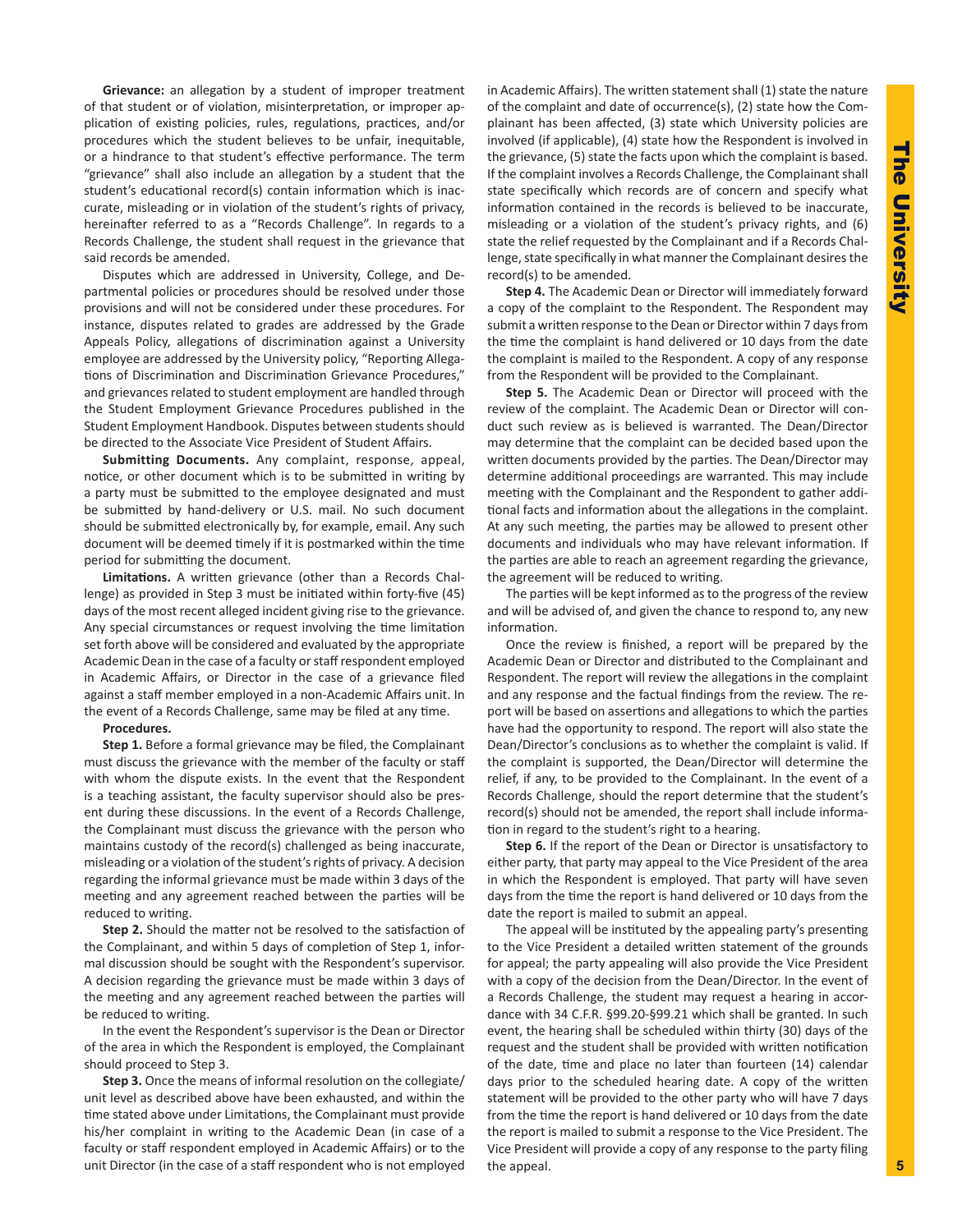**Grievance:** an allegation by a student of improper treatment of that student or of violation, misinterpretation, or improper application of existing policies, rules, regulations, practices, and/or procedures which the student believes to be unfair, inequitable, or a hindrance to that student's effective performance. The term "grievance" shall also include an allegation by a student that the student's educational record(s) contain information which is inaccurate, misleading or in violation of the student's rights of privacy, hereinafter referred to as a "Records Challenge". In regards to a Records Challenge, the student shall request in the grievance that said records be amended.

Disputes which are addressed in University, College, and Departmental policies or procedures should be resolved under those provisions and will not be considered under these procedures. For instance, disputes related to grades are addressed by the Grade Appeals Policy, allegations of discrimination against a University employee are addressed by the University policy, "Reporting Allegations of Discrimination and Discrimination Grievance Procedures," and grievances related to student employment are handled through the Student Employment Grievance Procedures published in the Student Employment Handbook. Disputes between students should be directed to the Associate Vice President of Student Affairs.

**Submitting Documents.** Any complaint, response, appeal, notice, or other document which is to be submitted in writing by a party must be submitted to the employee designated and must be submitted by hand-delivery or U.S. mail. No such document should be submitted electronically by, for example, email. Any such document will be deemed timely if it is postmarked within the time period for submitting the document.

**Limitations.** A written grievance (other than a Records Challenge) as provided in Step 3 must be initiated within forty-five (45) days of the most recent alleged incident giving rise to the grievance. Any special circumstances or request involving the time limitation set forth above will be considered and evaluated by the appropriate Academic Dean in the case of a faculty or staff respondent employed in Academic Affairs, or Director in the case of a grievance filed against a staff member employed in a non-Academic Affairs unit. In the event of a Records Challenge, same may be filed at any time.

#### **Procedures.**

**Step 1.** Before a formal grievance may be filed, the Complainant must discuss the grievance with the member of the faculty or staff with whom the dispute exists. In the event that the Respondent is a teaching assistant, the faculty supervisor should also be present during these discussions. In the event of a Records Challenge, the Complainant must discuss the grievance with the person who maintains custody of the record(s) challenged as being inaccurate, misleading or a violation of the student's rights of privacy. A decision regarding the informal grievance must be made within 3 days of the meeting and any agreement reached between the parties will be reduced to writing.

**Step 2.** Should the matter not be resolved to the satisfaction of the Complainant, and within 5 days of completion of Step 1, informal discussion should be sought with the Respondent's supervisor. A decision regarding the grievance must be made within 3 days of the meeting and any agreement reached between the parties will be reduced to writing.

In the event the Respondent's supervisor is the Dean or Director of the area in which the Respondent is employed, the Complainant should proceed to Step 3.

**Step 3.** Once the means of informal resolution on the collegiate/ unit level as described above have been exhausted, and within the time stated above under Limitations, the Complainant must provide his/her complaint in writing to the Academic Dean (in case of a faculty or staff respondent employed in Academic Affairs) or to the unit Director (in the case of a staff respondent who is not employed in Academic Affairs). The written statement shall (1) state the nature of the complaint and date of occurrence(s), (2) state how the Complainant has been affected, (3) state which University policies are involved (if applicable), (4) state how the Respondent is involved in the grievance, (5) state the facts upon which the complaint is based. If the complaint involves a Records Challenge, the Complainant shall state specifically which records are of concern and specify what information contained in the records is believed to be inaccurate, misleading or a violation of the student's privacy rights, and (6) state the relief requested by the Complainant and if a Records Challenge, state specifically in what manner the Complainant desires the record(s) to be amended.

**Step 4.** The Academic Dean or Director will immediately forward a copy of the complaint to the Respondent. The Respondent may submit a written response to the Dean or Director within 7 days from the time the complaint is hand delivered or 10 days from the date the complaint is mailed to the Respondent. A copy of any response from the Respondent will be provided to the Complainant.

**Step 5.** The Academic Dean or Director will proceed with the review of the complaint. The Academic Dean or Director will conduct such review as is believed is warranted. The Dean/Director may determine that the complaint can be decided based upon the written documents provided by the parties. The Dean/Director may determine additional proceedings are warranted. This may include meeting with the Complainant and the Respondent to gather additional facts and information about the allegations in the complaint. At any such meeting, the parties may be allowed to present other documents and individuals who may have relevant information. If the parties are able to reach an agreement regarding the grievance, the agreement will be reduced to writing.

The parties will be kept informed as to the progress of the review and will be advised of, and given the chance to respond to, any new information.

Once the review is finished, a report will be prepared by the Academic Dean or Director and distributed to the Complainant and Respondent. The report will review the allegations in the complaint and any response and the factual findings from the review. The report will be based on assertions and allegations to which the parties have had the opportunity to respond. The report will also state the Dean/Director's conclusions as to whether the complaint is valid. If the complaint is supported, the Dean/Director will determine the relief, if any, to be provided to the Complainant. In the event of a Records Challenge, should the report determine that the student's record(s) should not be amended, the report shall include information in regard to the student's right to a hearing.

**Step 6.** If the report of the Dean or Director is unsatisfactory to either party, that party may appeal to the Vice President of the area in which the Respondent is employed. That party will have seven days from the time the report is hand delivered or 10 days from the date the report is mailed to submit an appeal.

The appeal will be instituted by the appealing party's presenting to the Vice President a detailed written statement of the grounds for appeal; the party appealing will also provide the Vice President with a copy of the decision from the Dean/Director. In the event of a Records Challenge, the student may request a hearing in accordance with 34 C.F.R. §99.20-§99.21 which shall be granted. In such event, the hearing shall be scheduled within thirty (30) days of the request and the student shall be provided with written notification of the date, time and place no later than fourteen (14) calendar days prior to the scheduled hearing date. A copy of the written statement will be provided to the other party who will have 7 days from the time the report is hand delivered or 10 days from the date the report is mailed to submit a response to the Vice President. The Vice President will provide a copy of any response to the party filing the appeal.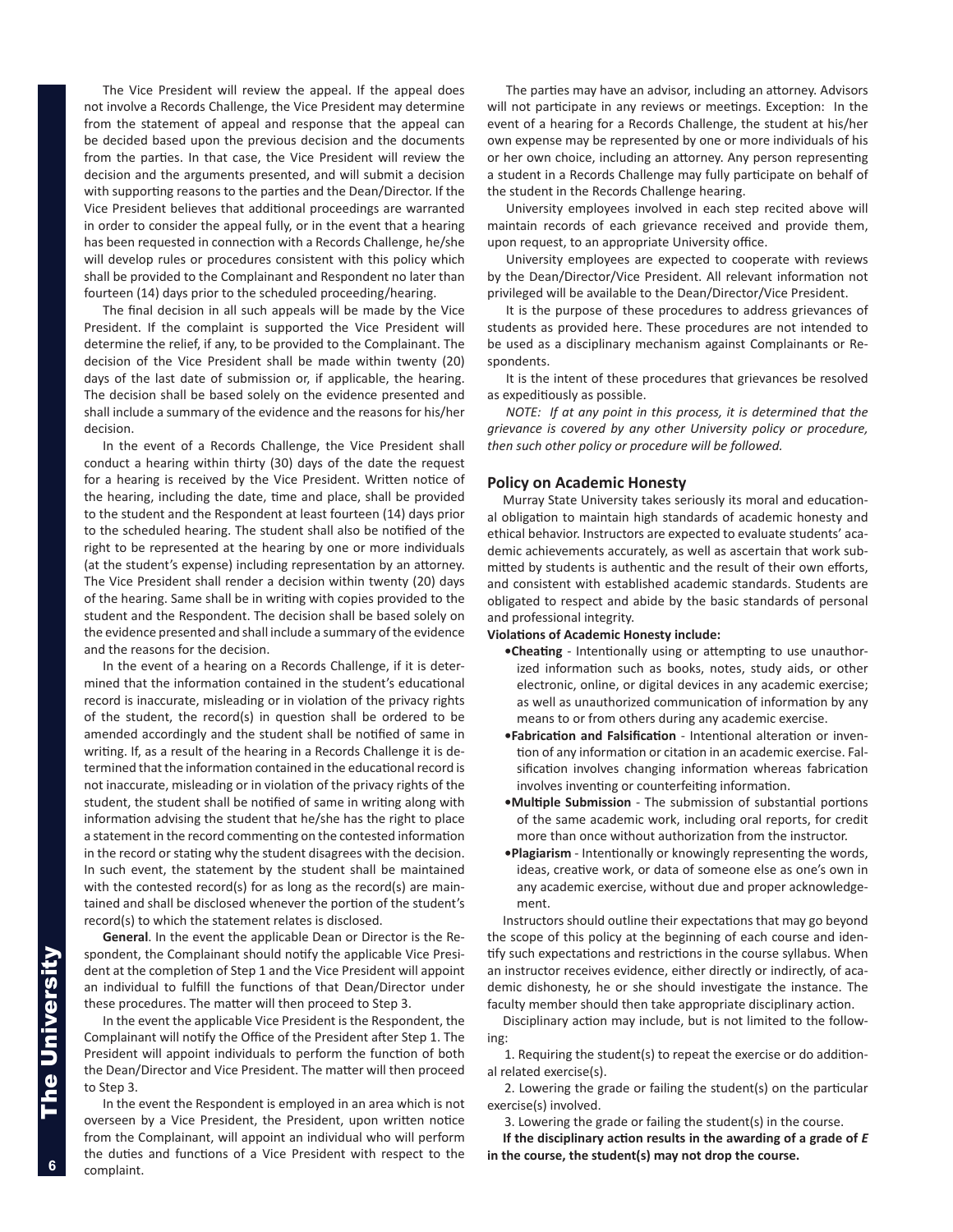The Vice President will review the appeal. If the appeal does not involve a Records Challenge, the Vice President may determine from the statement of appeal and response that the appeal can be decided based upon the previous decision and the documents from the parties. In that case, the Vice President will review the decision and the arguments presented, and will submit a decision with supporting reasons to the parties and the Dean/Director. If the Vice President believes that additional proceedings are warranted in order to consider the appeal fully, or in the event that a hearing has been requested in connection with a Records Challenge, he/she will develop rules or procedures consistent with this policy which shall be provided to the Complainant and Respondent no later than fourteen (14) days prior to the scheduled proceeding/hearing.

The final decision in all such appeals will be made by the Vice President. If the complaint is supported the Vice President will determine the relief, if any, to be provided to the Complainant. The decision of the Vice President shall be made within twenty (20) days of the last date of submission or, if applicable, the hearing. The decision shall be based solely on the evidence presented and shall include a summary of the evidence and the reasons for his/her decision.

In the event of a Records Challenge, the Vice President shall conduct a hearing within thirty (30) days of the date the request for a hearing is received by the Vice President. Written notice of the hearing, including the date, time and place, shall be provided to the student and the Respondent at least fourteen (14) days prior to the scheduled hearing. The student shall also be notified of the right to be represented at the hearing by one or more individuals (at the student's expense) including representation by an attorney. The Vice President shall render a decision within twenty (20) days of the hearing. Same shall be in writing with copies provided to the student and the Respondent. The decision shall be based solely on the evidence presented and shall include a summary of the evidence and the reasons for the decision.

In the event of a hearing on a Records Challenge, if it is determined that the information contained in the student's educational record is inaccurate, misleading or in violation of the privacy rights of the student, the record(s) in question shall be ordered to be amended accordingly and the student shall be notified of same in writing. If, as a result of the hearing in a Records Challenge it is determined that the information contained in the educational record is not inaccurate, misleading or in violation of the privacy rights of the student, the student shall be notified of same in writing along with information advising the student that he/she has the right to place a statement in the record commenting on the contested information in the record or stating why the student disagrees with the decision. In such event, the statement by the student shall be maintained with the contested record(s) for as long as the record(s) are maintained and shall be disclosed whenever the portion of the student's record(s) to which the statement relates is disclosed.

**General**. In the event the applicable Dean or Director is the Respondent, the Complainant should notify the applicable Vice President at the completion of Step 1 and the Vice President will appoint an individual to fulfill the functions of that Dean/Director under these procedures. The matter will then proceed to Step 3.

In the event the applicable Vice President is the Respondent, the Complainant will notify the Office of the President after Step 1. The President will appoint individuals to perform the function of both the Dean/Director and Vice President. The matter will then proceed to Step 3.

In the event the Respondent is employed in an area which is not overseen by a Vice President, the President, upon written notice from the Complainant, will appoint an individual who will perform the duties and functions of a Vice President with respect to the complaint.

The parties may have an advisor, including an attorney. Advisors will not participate in any reviews or meetings. Exception: In the event of a hearing for a Records Challenge, the student at his/her own expense may be represented by one or more individuals of his or her own choice, including an attorney. Any person representing a student in a Records Challenge may fully participate on behalf of the student in the Records Challenge hearing.

University employees involved in each step recited above will maintain records of each grievance received and provide them, upon request, to an appropriate University office.

University employees are expected to cooperate with reviews by the Dean/Director/Vice President. All relevant information not privileged will be available to the Dean/Director/Vice President.

It is the purpose of these procedures to address grievances of students as provided here. These procedures are not intended to be used as a disciplinary mechanism against Complainants or Respondents.

It is the intent of these procedures that grievances be resolved as expeditiously as possible.

*NOTE: If at any point in this process, it is determined that the grievance is covered by any other University policy or procedure, then such other policy or procedure will be followed.* 

#### **Policy on Academic Honesty**

Murray State University takes seriously its moral and educational obligation to maintain high standards of academic honesty and ethical behavior. Instructors are expected to evaluate students' academic achievements accurately, as well as ascertain that work submitted by students is authentic and the result of their own efforts, and consistent with established academic standards. Students are obligated to respect and abide by the basic standards of personal and professional integrity.

#### **Violations of Academic Honesty include:**

- **•Cheating** Intentionally using or attempting to use unauthorized information such as books, notes, study aids, or other electronic, online, or digital devices in any academic exercise; as well as unauthorized communication of information by any means to or from others during any academic exercise.
- **•Fabrication and Falsification** Intentional alteration or invention of any information or citation in an academic exercise. Falsification involves changing information whereas fabrication involves inventing or counterfeiting information.
- **•Multiple Submission** The submission of substantial portions of the same academic work, including oral reports, for credit more than once without authorization from the instructor.
- **•Plagiarism** Intentionally or knowingly representing the words, ideas, creative work, or data of someone else as one's own in any academic exercise, without due and proper acknowledgement.

Instructors should outline their expectations that may go beyond the scope of this policy at the beginning of each course and identify such expectations and restrictions in the course syllabus. When an instructor receives evidence, either directly or indirectly, of academic dishonesty, he or she should investigate the instance. The faculty member should then take appropriate disciplinary action.

Disciplinary action may include, but is not limited to the follow-

ing:

1. Requiring the student(s) to repeat the exercise or do additional related exercise(s).

2. Lowering the grade or failing the student(s) on the particular exercise(s) involved.

3. Lowering the grade or failing the student(s) in the course.

**If the disciplinary action results in the awarding of a grade of** *E* **in the course, the student(s) may not drop the course.** 

6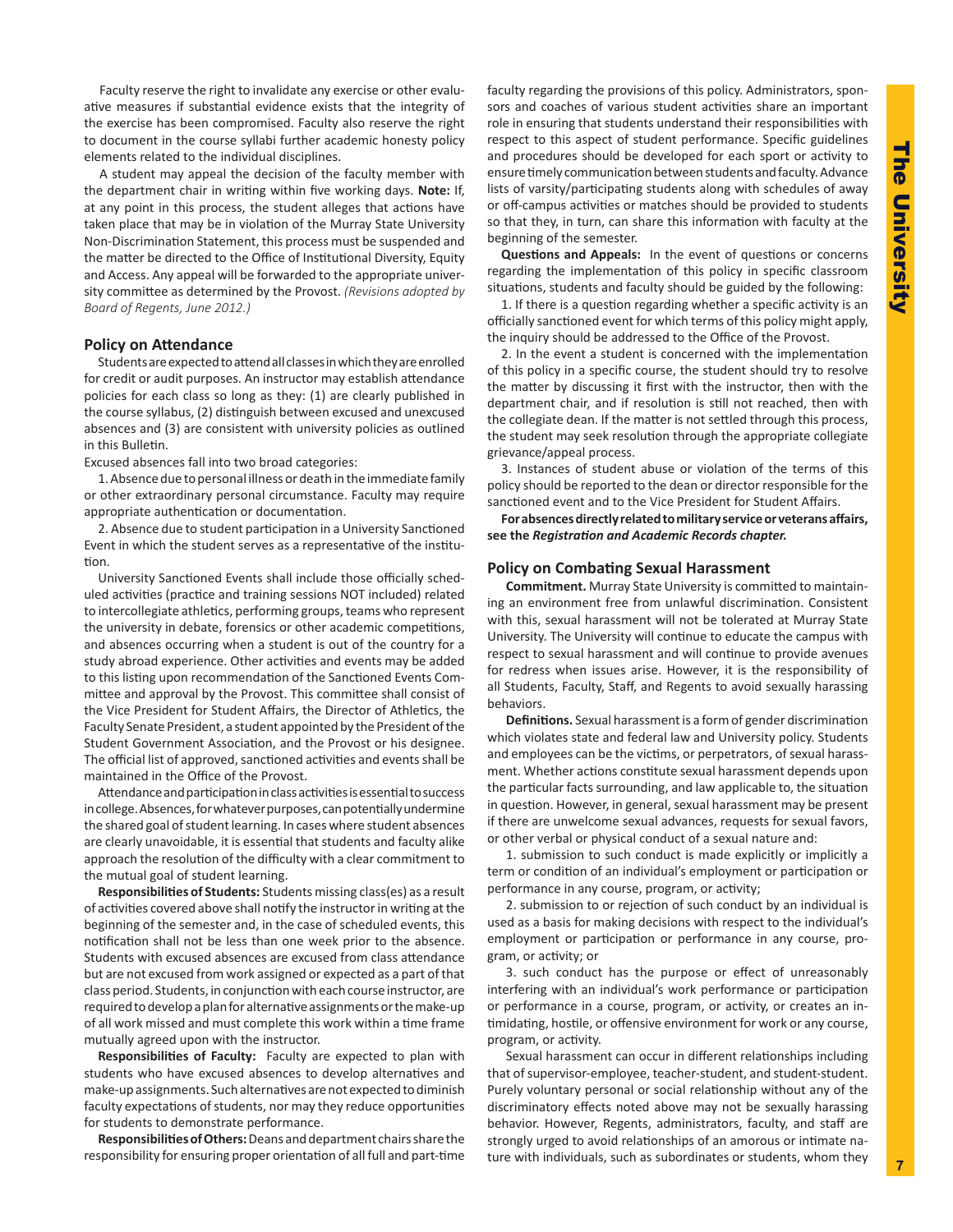Faculty reserve the right to invalidate any exercise or other evaluative measures if substantial evidence exists that the integrity of the exercise has been compromised. Faculty also reserve the right to document in the course syllabi further academic honesty policy elements related to the individual disciplines.

A student may appeal the decision of the faculty member with the department chair in writing within five working days. **Note:** If, at any point in this process, the student alleges that actions have taken place that may be in violation of the Murray State University Non-Discrimination Statement, this process must be suspended and the matter be directed to the Office of Institutional Diversity, Equity and Access. Any appeal will be forwarded to the appropriate university committee as determined by the Provost. *(Revisions adopted by Board of Regents, June 2012.)*

# **Policy on Attendance**

Students are expected to attend all classes in which they are enrolled for credit or audit purposes. An instructor may establish attendance policies for each class so long as they: (1) are clearly published in the course syllabus, (2) distinguish between excused and unexcused absences and (3) are consistent with university policies as outlined in this Bulletin.

Excused absences fall into two broad categories:

1. Absence due to personal illness or death in the immediate family or other extraordinary personal circumstance. Faculty may require appropriate authentication or documentation.

2. Absence due to student participation in a University Sanctioned Event in which the student serves as a representative of the institution.

University Sanctioned Events shall include those officially scheduled activities (practice and training sessions NOT included) related to intercollegiate athletics, performing groups, teams who represent the university in debate, forensics or other academic competitions, and absences occurring when a student is out of the country for a study abroad experience. Other activities and events may be added to this listing upon recommendation of the Sanctioned Events Committee and approval by the Provost. This committee shall consist of the Vice President for Student Affairs, the Director of Athletics, the Faculty Senate President, a student appointed by the President of the Student Government Association, and the Provost or his designee. The official list of approved, sanctioned activities and events shall be maintained in the Office of the Provost.

Attendance and participation in class activities is essential to success in college. Absences, for whatever purposes, can potentially undermine the shared goal of student learning. In cases where student absences are clearly unavoidable, it is essential that students and faculty alike approach the resolution of the difficulty with a clear commitment to the mutual goal of student learning.

**Responsibilities of Students:** Students missing class(es) as a result of activities covered above shall notify the instructor in writing at the beginning of the semester and, in the case of scheduled events, this notification shall not be less than one week prior to the absence. Students with excused absences are excused from class attendance but are not excused from work assigned or expected as a part of that class period. Students, in conjunction with each course instructor, are required to develop a plan for alternative assignments or the make-up of all work missed and must complete this work within a time frame mutually agreed upon with the instructor.

**Responsibilities of Faculty:** Faculty are expected to plan with students who have excused absences to develop alternatives and make-up assignments. Such alternatives are not expected to diminish faculty expectations of students, nor may they reduce opportunities for students to demonstrate performance.

**Responsibilities of Others:** Deans and department chairs share the responsibility for ensuring proper orientation of all full and part-time faculty regarding the provisions of this policy. Administrators, sponsors and coaches of various student activities share an important role in ensuring that students understand their responsibilities with respect to this aspect of student performance. Specific guidelines and procedures should be developed for each sport or activity to ensure timely communication between students and faculty. Advance lists of varsity/participating students along with schedules of away or off-campus activities or matches should be provided to students so that they, in turn, can share this information with faculty at the beginning of the semester.

**Questions and Appeals:** In the event of questions or concerns regarding the implementation of this policy in specific classroom situations, students and faculty should be guided by the following:

1. If there is a question regarding whether a specific activity is an officially sanctioned event for which terms of this policy might apply, the inquiry should be addressed to the Office of the Provost.

2. In the event a student is concerned with the implementation of this policy in a specific course, the student should try to resolve the matter by discussing it first with the instructor, then with the department chair, and if resolution is still not reached, then with the collegiate dean. If the matter is not settled through this process, the student may seek resolution through the appropriate collegiate grievance/appeal process.

3. Instances of student abuse or violation of the terms of this policy should be reported to the dean or director responsible for the sanctioned event and to the Vice President for Student Affairs.

**For absences directly related to military service or veterans affairs, see the** *Registration and Academic Records chapter.* 

#### **Policy on Combating Sexual Harassment**

**Commitment.** Murray State University is committed to maintaining an environment free from unlawful discrimination. Consistent with this, sexual harassment will not be tolerated at Murray State University. The University will continue to educate the campus with respect to sexual harassment and will continue to provide avenues for redress when issues arise. However, it is the responsibility of all Students, Faculty, Staff, and Regents to avoid sexually harassing behaviors.

**Definitions.** Sexual harassment is a form of gender discrimination which violates state and federal law and University policy. Students and employees can be the victims, or perpetrators, of sexual harassment. Whether actions constitute sexual harassment depends upon the particular facts surrounding, and law applicable to, the situation in question. However, in general, sexual harassment may be present if there are unwelcome sexual advances, requests for sexual favors, or other verbal or physical conduct of a sexual nature and:

1. submission to such conduct is made explicitly or implicitly a term or condition of an individual's employment or participation or performance in any course, program, or activity;

2. submission to or rejection of such conduct by an individual is used as a basis for making decisions with respect to the individual's employment or participation or performance in any course, program, or activity; or

3. such conduct has the purpose or effect of unreasonably interfering with an individual's work performance or participation or performance in a course, program, or activity, or creates an intimidating, hostile, or offensive environment for work or any course, program, or activity.

Sexual harassment can occur in different relationships including that of supervisor-employee, teacher-student, and student-student. Purely voluntary personal or social relationship without any of the discriminatory effects noted above may not be sexually harassing behavior. However, Regents, administrators, faculty, and staff are strongly urged to avoid relationships of an amorous or intimate nature with individuals, such as subordinates or students, whom they